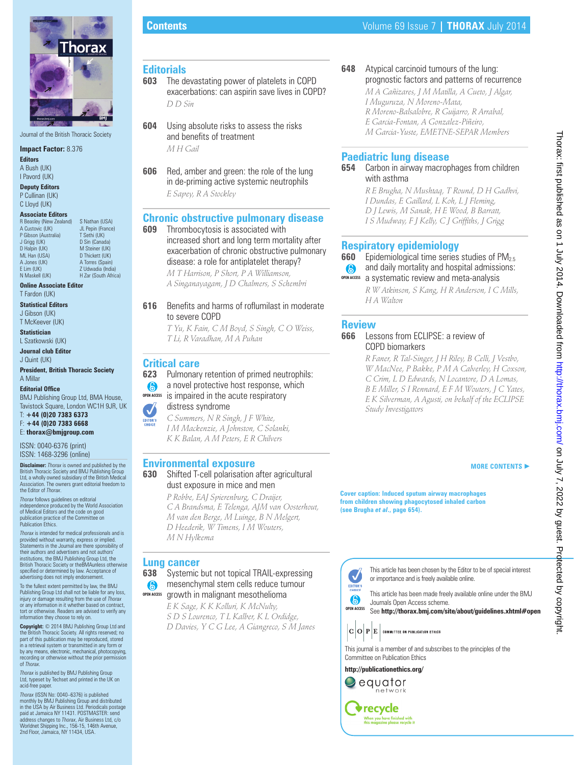

Journal of the British Thoracic Society

**Impact Factor:** 8.376 **Editors**

A Bush (UK) I Pavord (UK)

**Deputy Editors** P Cullinan (UK) C Lloyd (UK)

#### **Associate Editors**

R Beasley (New Zealand) S Nathan (USA)<br>A Custovic (UK) U Penin (France JL Pepin (France)<br>T Sethi (UK) P Gibson (Australia) T Sethi (UK)<br>J Griga (UK) D Sin (Canada) J Grigg (UK) D Sin (Canada) D Halpin (UK)<br>ML Han (USA) ML Han (USA) D Thickett (UK)<br>A Jones (UK) A Torres (Spain A Jones (UK) A Torres (Spain)<br>F I im (UK) 7 Udwadia (Ind E Lim (UK) Z Udwadia (India)<br>N Maskell (UK) H Zar (South Afric H Zar (South Africa)

**Online Associate Editor** T Fardon (UK)

**Statistical Editors**

J Gibson (UK) T McKeever (UK)

**Statistician** L Szatkowski (UK)

**Journal club Editor** J Quint (UK)

**President, British Thoracic Society** A Millar

#### **Editorial Office**

BMJ Publishing Group Ltd, BMA House, Tavistock Square, London WC1H 9JR, UK

T: **+44 (0)20 7383 6373** F: **+44 (0)20 7383 6668**

E: **thorax@bmjgroup.com**

ISSN: 0040-6376 (print) ISSN: 1468-3296 (online)

**Disclaimer:** *Thorax* is owned and published by the British Thoracic Society and BMJ Publishing Group Ltd, a wholly owned subsidiary of the British Medical ociation. The owners grant editorial freedom to the Editor of *Thorax*.

*Thorax* follows guidelines on editorial independence produced by the World Association of Medical Editors and the code on good publication practice of the Committee on Publication Ethics.

*Thorax* is intended for medical professionals and is provided without warranty, express or implied. Statements in the Journal are there sponsibility of their authors and advertisers and not authors' institutions, the BMJ Publishing Group Ltd, the British Thoracic Society or theBMAunless otherwise<br>specified or determined by law. Acceptance of advertising does not imply endorsement.

To the fullest extent permitted by law, the BMJ Publishing Group Ltd shall not be liable for any loss, injury or damage resulting from the use of *Thorax* or any information in it whether based on contract, tort or otherwise. Readers are advised to verify any information they choose to rely on.

**Copyright:** © 2014 BMJ Publishing Group Ltd and the British Thoracic Society. All rights reserved; no part of this publication may be reproduced, stored in a retrieval system or transmitted in any form or by any means, electronic, mechanical, photocopying recording or otherwise without the prior permission of *Thorax*.

*Thorax* is published by BMJ Publishing Group Ltd, typeset by Techset and printed in the UK on acid-free paper

*Thorax* (ISSN No: 0040–6376) is published monthly by BMJ Publishing Group and distributed in the USA by Air Business Ltd. Periodicals postage paid at Jamaica NY 11431. POSTMASTER address changes to *Thorax*, Air Business Ltd, c/o Worldnet Shipping Inc., 156-15, 146th Avenue, 2nd Floor, Jamaica, NY 11434, USA.

### **Editorials**

- **603** The devastating power of platelets in COPD exacerbations: can aspirin save lives in COPD? *D D Sin*
- **604** Using absolute risks to assess the risks and benefits of treatment *M H Gail*
- **606** Red, amber and green: the role of the lung in de-priming active systemic neutrophils *E Sapey, R A Stockley*

# **Chronic obstructive pulmonary disease**<br>**609** Thrombocytosis is associated with

**609** Thrombocytosis is associated with increased short and long term mortality after exacerbation of chronic obstructive pulmonary disease: a role for antiplatelet therapy?

*M T Harrison, P Short, P A Williamson, A Singanayagam, J D Chalmers, S Schembri*

#### **616** Benefits and harms of roflumilast in moderate to severe COPD

*T Yu, K Fain, C M Boyd, S Singh, C O Weiss, T Li, R Varadhan, M A Puhan*

### **Critical care**

**623** Pulmonary retention of primed neutrophils:

a novel protective host response, which  $\bullet$ 

#### is impaired in the acute respiratory **OPEN ACCESS**



*C Summers, N R Singh, J F White, I M Mackenzie, A Johnston, C Solanki, K K Balan, A M Peters, E R Chilvers*

### **Environmental exposure**

#### **630** Shifted T-cell polarisation after agricultural dust exposure in mice and men

*P Robbe, EAJ Spierenburg, C Draijer, C A Brandsma, E Telenga, AJM van Oosterhout, M van den Berge, M Luinge, B N Melgert, D Heederik, W Timens, I M Wouters, M N Hylkema*

# **Lung cancer**<br>638 Systemic

**638** Systemic but not topical TRAIL-expressing mesenchymal stem cells reduce tumour 6 growth in malignant mesothelioma **OPEN ACCESS**

*E K Sage, K K Kolluri, K McNulty, S D S Lourenco, T L Kalber, K L Ordidge, D Davies, Y C G Lee, A Giangreco, S M Janes*

## **648** Atypical carcinoid tumours of the lung: prognostic factors and patterns of recurrence

*M A Cañizares, J M Matilla, A Cueto, J Algar, I Muguruza, N Moreno-Mata, R Moreno-Balsalobre, R Guijarro, R Arrabal, E Garcia-Fontan, A Gonzalez-Piñeiro, M Garcia-Yuste, EMETNE-SEPAR Members*

### **Paediatric lung disease**

#### **654** Carbon in airway macrophages from children with asthma

*R E Brugha, N Mushtaq, T Round, D H Gadhvi, I Dundas, E Gaillard, L Koh, L J Fleming, D J Lewis, M Sanak, H E Wood, B Barratt, I S Mudway, F J Kelly, C J Griffi ths, J Grigg*

### **Respiratory epidemiology**

- **660** Epidemiological time series studies of PM<sub>2.5</sub>
- and daily mortality and hospital admissions: 6
- **OPEN ACCESS** a systematic review and meta-analysis

*R W Atkinson, S Kang, H R Anderson, I C Mills, H A Walton*

### **Review**



*R Faner, R Tal-Singer, J H Riley, B Celli, J Vestbo, W MacNee, P Bakke, P M A Calverley, H Coxson, C Crim, L D Edwards, N Locantore, D A Lomas, B E Miller, S I Rennard, E F M Wouters, J C Yates, E K Silverman, A Agusti, on behalf of the ECLIPSE Study Investigators*

#### **MORE CONTENTS** -

**Cover caption: Induced sputum airway macrophages from children showing phagocytosed inhaled carbon (see Brugha** *et al***., page 654).** 



Journals Open Access scheme.

This journal is a member of and subscribes to the principles of the Committee on Publication Ethics

or importance and is freely available online.

This article has been chosen by the Editor to be of special interest

This article has been made freely available online under the BMJ

See **http://thorax.bmj.com/site/about/guidelines.xhtml#open** 

### **http://publicationethics.org/**

**OPEN ACCESS**

 $\checkmark$ 

EDITOR'S  $\odot$ 



**◆recycle** When you have finished with<br>this magazine please recycle it